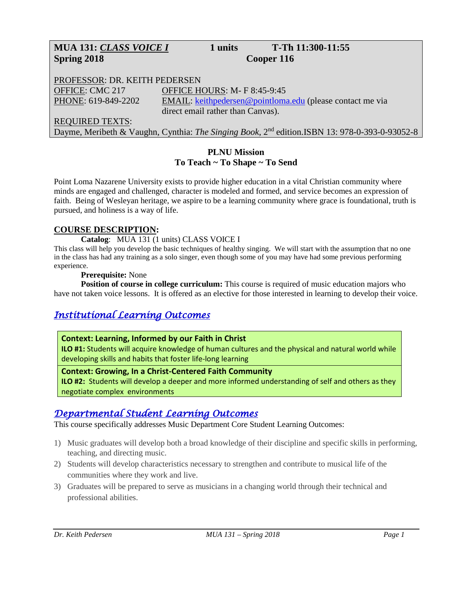# **MUA 131:** *CLASS VOICE I* **1 units T-Th 11:300-11:55 Spring 2018 Cooper 116**

PROFESSOR: DR. KEITH PEDERSEN OFFICE: CMC 217 OFFICE HOURS: M- F 8:45-9:45 PHONE: 619-849-2202 EMAIL: [keithpedersen@pointloma.edu](mailto:keithpedersen@pointloma.edu) (please contact me via direct email rather than Canvas). REQUIRED TEXTS:

Dayme, Meribeth & Vaughn, Cynthia: *The Singing Book*, 2nd edition.ISBN 13: 978-0-393-0-93052-8

## **PLNU Mission To Teach ~ To Shape ~ To Send**

Point Loma Nazarene University exists to provide higher education in a vital Christian community where minds are engaged and challenged, character is modeled and formed, and service becomes an expression of faith. Being of Wesleyan heritage, we aspire to be a learning community where grace is foundational, truth is pursued, and holiness is a way of life.

### **COURSE DESCRIPTION:**

### **Catalog**: MUA 131 (1 units) CLASS VOICE I

This class will help you develop the basic techniques of healthy singing. We will start with the assumption that no one in the class has had any training as a solo singer, even though some of you may have had some previous performing experience.

### **Prerequisite:** None

**Position of course in college curriculum:** This course is required of music education majors who have not taken voice lessons. It is offered as an elective for those interested in learning to develop their voice.

## *Institutional Learning Outcomes*

### **Context: Learning, Informed by our Faith in Christ**

**ILO #1:** Students will acquire knowledge of human cultures and the physical and natural world while developing skills and habits that foster life-long learning

### **Context: Growing, In a Christ-Centered Faith Community**

**ILO #2:** Students will develop a deeper and more informed understanding of self and others as they negotiate complex environments

## *Departmental Student Learning Outcomes*

This course specifically addresses Music Department Core Student Learning Outcomes:

- 1) Music graduates will develop both a broad knowledge of their discipline and specific skills in performing, teaching, and directing music.
- 2) Students will develop characteristics necessary to strengthen and contribute to musical life of the communities where they work and live.
- 3) Graduates will be prepared to serve as musicians in a changing world through their technical and professional abilities.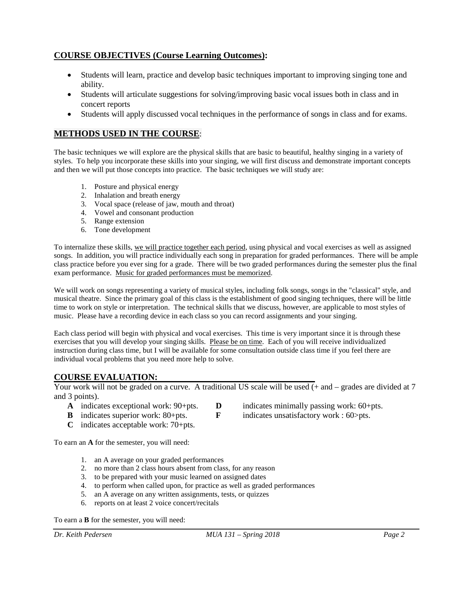### **COURSE OBJECTIVES (Course Learning Outcomes):**

- Students will learn, practice and develop basic techniques important to improving singing tone and ability.
- Students will articulate suggestions for solving/improving basic vocal issues both in class and in concert reports
- Students will apply discussed vocal techniques in the performance of songs in class and for exams.

### **METHODS USED IN THE COURSE**:

The basic techniques we will explore are the physical skills that are basic to beautiful, healthy singing in a variety of styles. To help you incorporate these skills into your singing, we will first discuss and demonstrate important concepts and then we will put those concepts into practice. The basic techniques we will study are:

- 1. Posture and physical energy
- 2. Inhalation and breath energy
- 3. Vocal space (release of jaw, mouth and throat)
- 4. Vowel and consonant production
- 5. Range extension
- 6. Tone development

To internalize these skills, we will practice together each period, using physical and vocal exercises as well as assigned songs. In addition, you will practice individually each song in preparation for graded performances. There will be ample class practice before you ever sing for a grade. There will be two graded performances during the semester plus the final exam performance. Music for graded performances must be memorized.

We will work on songs representing a variety of musical styles, including folk songs, songs in the "classical" style, and musical theatre. Since the primary goal of this class is the establishment of good singing techniques, there will be little time to work on style or interpretation. The technical skills that we discuss, however, are applicable to most styles of music. Please have a recording device in each class so you can record assignments and your singing.

Each class period will begin with physical and vocal exercises. This time is very important since it is through these exercises that you will develop your singing skills. Please be on time. Each of you will receive individualized instruction during class time, but I will be available for some consultation outside class time if you feel there are individual vocal problems that you need more help to solve.

### **COURSE EVALUATION:**

Your work will not be graded on a curve. A traditional US scale will be used  $(+)$  and  $-$  grades are divided at 7 and 3 points).

- 
- 
- 
- **C** indicates acceptable work: 70+pts.

To earn an **A** for the semester, you will need:

- 1. an A average on your graded performances
- 2. no more than 2 class hours absent from class, for any reason
- 3. to be prepared with your music learned on assigned dates
- 4. to perform when called upon, for practice as well as graded performances
- 5. an A average on any written assignments, tests, or quizzes
- 6. reports on at least 2 voice concert/recitals

To earn a **B** for the semester, you will need:

- **A** indicates exceptional work: 90+pts. **D** indicates minimally passing work: 60+pts.
- **B** indicates superior work: 80+pts. **F** indicates unsatisfactory work : 60>pts.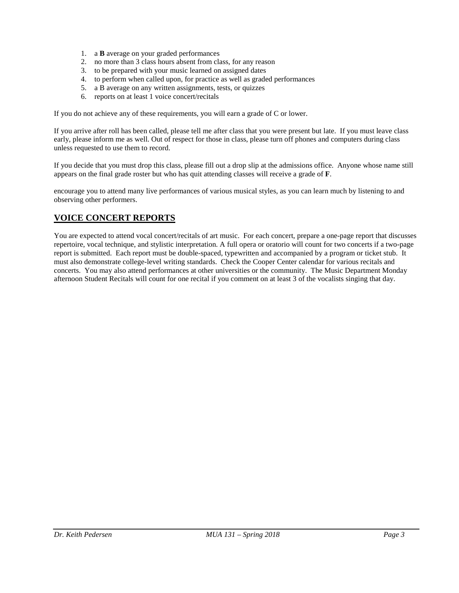- 1. a **B** average on your graded performances
- 2. no more than 3 class hours absent from class, for any reason
- 3. to be prepared with your music learned on assigned dates
- 4. to perform when called upon, for practice as well as graded performances
- 5. a B average on any written assignments, tests, or quizzes
- 6. reports on at least 1 voice concert/recitals

If you do not achieve any of these requirements, you will earn a grade of C or lower.

If you arrive after roll has been called, please tell me after class that you were present but late. If you must leave class early, please inform me as well. Out of respect for those in class, please turn off phones and computers during class unless requested to use them to record.

If you decide that you must drop this class, please fill out a drop slip at the admissions office. Anyone whose name still appears on the final grade roster but who has quit attending classes will receive a grade of **F**.

encourage you to attend many live performances of various musical styles, as you can learn much by listening to and observing other performers.

### **VOICE CONCERT REPORTS**

You are expected to attend vocal concert/recitals of art music. For each concert, prepare a one-page report that discusses repertoire, vocal technique, and stylistic interpretation. A full opera or oratorio will count for two concerts if a two-page report is submitted. Each report must be double-spaced, typewritten and accompanied by a program or ticket stub. It must also demonstrate college-level writing standards. Check the Cooper Center calendar for various recitals and concerts. You may also attend performances at other universities or the community. The Music Department Monday afternoon Student Recitals will count for one recital if you comment on at least 3 of the vocalists singing that day.